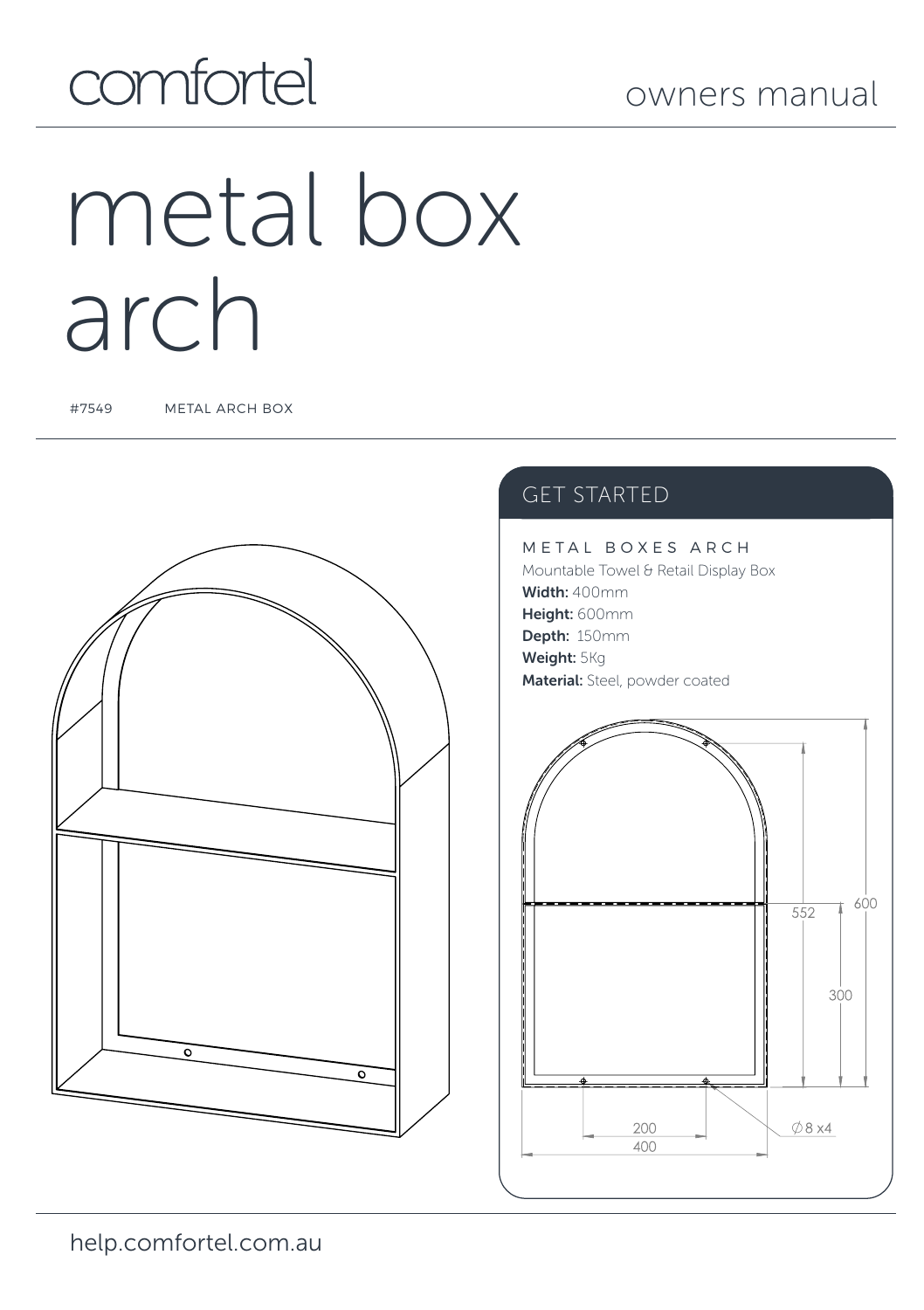### owners manual

## comfortel

# metal box arch

#7549 METAL ARCH BOX



### GET STARTED

METAL BOXES ARCH Mountable Towel & Retail Display Box Width: 400mm Height: 600mm Depth: 150mm Weight: 5Kg Material: Steel, powder coated